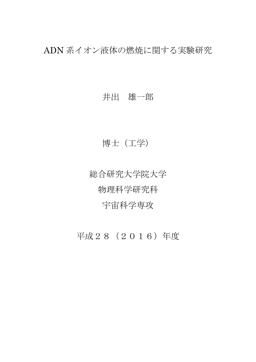ADN 系イオン液体の燃焼に関する実験研究

## 井出 雄一郎

## 博士(工学)

総合研究大学院大学 物理科学研究科 宇宙科学専攻

平成28(2016)年度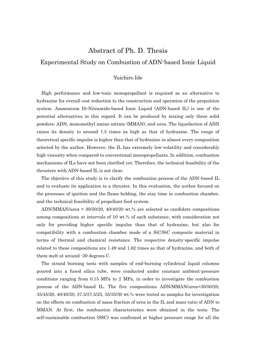## Abstract of Ph. D. Thesis Experimental Study on Combustion of ADN-based Ionic Liquid

## Yuichiro Ide

High performance and low-toxic monopropellant is required as an alternative to hydrazine for overall cost reduction to the construction and operation of the propulsion system. Ammonium Di-Nitramide-based Ionic Liquid (ADN-based IL) is one of the potential alternatives in this regard. It can be produced by mixing only three solid powders: ADN, monomethyl amine nitrate (MMAN), and urea. The liquefaction of ADN raises its density to around 1.5 times as high as that of hydrazine. The range of theoretical specific impulse is higher than that of hydrazine in almost every composition selected by the author. However, the IL has extremely low-volatility and considerably high viscosity when compared to conventional monopropellants. In addition, combustion mechanisms of ILs have not been clarified yet. Therefore, the technical feasibility of the thrusters with ADN-based IL is not clear.

The objective of this study is to clarify the combustion process of the ADN-based IL and to evaluate its application to a thruster. In this evaluation, the author focused on the processes of ignition and the flame holding, the stay time in combustion chamber, and the technical feasibility of propellant feed system.

ADN/MMAN/urea = 30/50/20, 40/40/20 wt.% are selected as candidate compositions among compositions at intervals of 10 wt.% of each substance, with consideration not only for providing higher specific impulse than that of hydrazine, but also for compatibility with a combustion chamber made of a SiC/SiC composite material in terms of thermal and chemical resistance. The respective density-specific impulse related to these compositions are 1.49 and 1.62 times as that of hydrazine, and both of them melt at around -30 degrees C.

The strand burning tests with samples of end-burning cylindrical liquid columns poured into a fused silica tube, were conducted under constant ambient-pressure conditions ranging from 0.15 MPa to 2 MPa, in order to investigate the combustion process of the ADN-based IL. The five compositions ADN/MMAN/urea=30/50/20, 35/45/20, 40/40/20, 37.5/37.5/25, 35/35/30 wt.% were tested as samples for investigation on the effects on combustion of mass fraction of urea in the IL and mass ratio of ADN to MMAN. At first, the combustion characteristics were obtained in the tests. The self-sustainable combustion (SSC) was confirmed at higher pressure range for all the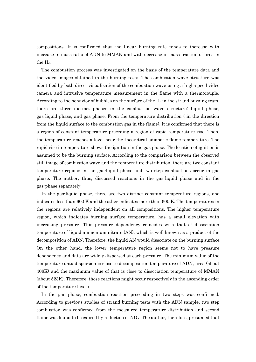compositions. It is confirmed that the linear burning rate tends to increase with increase in mass ratio of ADN to MMAN and with decrease in mass fraction of urea in the IL.

The combustion process was investigated on the basis of the temperature data and the video images obtained in the burning tests. The combustion wave structure was identified by both direct visualization of the combustion wave using a high-speed video camera and intrusive temperature measurement in the flame with a thermocouple. According to the behavior of bubbles on the surface of the IL in the strand burning tests, there are three distinct phases in the combustion wave structure: liquid phase, gas-liquid phase, and gas phase. From the temperature distribution ( in the direction from the liquid surface to the combustion gas in the flame), it is confirmed that there is a region of constant temperature preceding a region of rapid temperature rise. Then, the temperature reaches a level near the theoretical adiabatic flame temperature. The rapid rise in temperature shows the ignition in the gas phase. The location of ignition is assumed to be the burning surface. According to the comparison between the observed still image of combustion wave and the temperature distribution, there are two constant temperature regions in the gas-liquid phase and two step combustions occur in gas phase. The author, thus, discussed reactions in the gas-liquid phase and in the gas-phase separately.

In the gas-liquid phase, there are two distinct constant temperature regions, one indicates less than 600 K and the other indicates more than 600 K. The temperatures in the regions are relatively independent on all compositions. The higher temperature region, which indicates burning surface temperature, has a small elevation with increasing pressure. This pressure dependency coincides with that of dissociation temperature of liquid ammonium nitrate (AN), which is well known as a product of the decomposition of ADN. Therefore, the liquid AN would dissociate on the burning surface. On the other hand, the lower temperature region seems not to have pressure dependency and data are widely dispersed at each pressure. The minimum value of the temperature data dispersion is close to decomposition temperature of ADN, urea (about 408K) and the maximum value of that is close to dissociation temperature of MMAN (about 523K). Therefore, those reactions might occur respectively in the ascending order of the temperature levels.

In the gas phase, combustion reaction proceeding in two steps was confirmed. According to previous studies of strand burning tests with the ADN sample, two-step combustion was confirmed from the measured temperature distribution and second flame was found to be caused by reduction of  $NO_x$ . The author, therefore, presumed that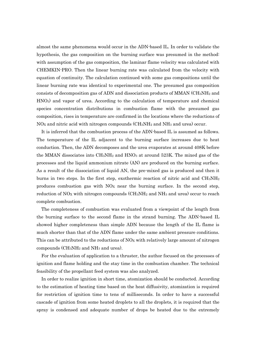almost the same phenomena would occur in the ADN-based IL. In order to validate the hypothesis, the gas composition on the burning surface was presumed in the method: with assumption of the gas composition, the laminar flame velocity was calculated with CHEMKIN-PRO. Then the linear burning rate was calculated from the velocity with equation of continuity. The calculation continued with some gas compositions until the linear burning rate was identical to experimental one. The presumed gas composition consists of decomposition gas of ADN and dissociation products of MMAN ( $CH<sub>3</sub>NH<sub>2</sub>$  and HNO3) and vapor of urea. According to the calculation of temperature and chemical species concentration distributions in combustion flame with the presumed gas composition, rises in temperature are confirmed in the locations where the reductions of NO<sup>X</sup> and nitric acid with nitrogen compounds (CH3NH<sup>2</sup> and NH<sup>3</sup> and urea) occur.

It is inferred that the combustion process of the ADN-based IL is assumed as follows. The temperature of the IL adjacent to the burning surface increases due to heat conduction. Then, the ADN decomposes and the urea evaporates at around 408K before the MMAN dissociates into  $CH_3NH_2$  and  $HNO_3$  at around 523K. The mixed gas of the processes and the liquid ammonium nitrate (AN) are produced on the burning surface. As a result of the dissociation of liquid AN, the pre-mixed gas is produced and then it burns in two steps. In the first step, exothermic reaction of nitric acid and  $CH_3NH_2$ produces combustion gas with NO<sup>X</sup> near the burning surface. In the second step, reduction of NO<sub>X</sub> with nitrogen compounds  $\rm (CH_3NH_2)$  and NH<sub>3</sub> and urea) occur to reach complete combustion.

The completeness of combustion was evaluated from a viewpoint of the length from the burning surface to the second flame in the strand burning. The ADN-based IL showed higher completeness than simple ADN because the length of the IL flame is much shorter than that of the ADN flame under the same ambient pressure conditions. This can be attributed to the reductions of  $N_{\alpha}$  with relatively large amount of nitrogen compounds  $(CH_3NH_2$  and NH<sub>3</sub> and urea).

For the evaluation of application to a thruster, the author focused on the processes of ignition and flame holding and the stay time in the combustion chamber. The technical feasibility of the propellant feed system was also analyzed.

In order to realize ignition in short time, atomization should be conducted. According to the estimation of heating time based on the heat diffusivity, atomization is required for restriction of ignition time to tens of milliseconds. In order to have a successful cascade of ignition from some heated droplets to all the droplets, it is required that the spray is condensed and adequate number of drops be heated due to the extremely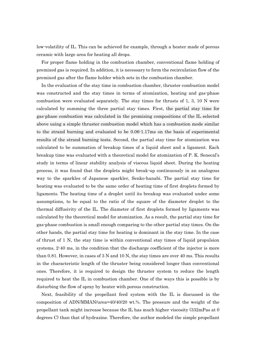low-volatility of IL. This can be achieved for example, through a heater made of porous ceramic with large area for heating all drops.

For proper flame holding in the combustion chamber, conventional flame holding of premixed gas is required. In addition, it is necessary to form the recirculation flow of the premixed gas after the flame holder which sets in the combustion chamber.

In the evaluation of the stay time in combustion chamber, thruster combustion model was constructed and the stay times in terms of atomization, heating and gas-phase combustion were evaluated separately. The stay times for thrusts of 1, 3, 10 N were calculated by summing the three partial stay times. First, the partial stay time for gas-phase combustion was calculated in the promising compositions of the IL selected above using a simple thruster combustion model which has a combustion mode similar to the strand burning and evaluated to be 0.06-1.17ms on the basis of experimental results of the strand burning tests. Second, the partial stay time for atomization was calculated to be summation of breakup times of a liquid sheet and a ligament. Each breakup time was evaluated with a theoretical model for atomization of P. K. Senecal's study in terms of linear stability analysis of viscous liquid sheet. During the heating process, it was found that the droplets might break-up continuously in an analogous way to the sparkles of Japanese sparkler, Senko-hanabi. The partial stay time for heating was evaluated to be the same order of heating time of first droplets formed by ligaments. The heating time of a droplet until its breakup was evaluated under some assumptions, to be equal to the ratio of the square of the diameter droplet to the thermal diffusivity of the IL. The diameter of first droplets formed by ligaments was calculated by the theoretical model for atomization. As a result, the partial stay time for gas-phase combustion is small enough comparing to the other partial stay times. On the other hands, the partial stay time for heating is dominant in the stay time. In the case of thrust of 1 N, the stay time is within conventional stay times of liquid propulsion systems, 2-40 ms, in the condition that the discharge coefficient of the injector is more than 0.81. However, in cases of 3 N and 10 N, the stay times are over 40 ms. This results in the characteristic length of the thruster being considered longer than conventional ones. Therefore, it is required to design the thruster system to reduce the length required to heat the IL in combustion chamber. One of the ways this is possible is by disturbing the flow of spray by heater with porous construction.

Next, feasibility of the propellant feed system with the IL is discussed in the composition of ADN/MMAN/urea=40/40/20 wt.%. The pressure and the weight of the propellant tank might increase because the IL has much higher viscosity (332mPas at 0 degrees C) than that of hydrazine. Therefore, the author modeled the simple propellant